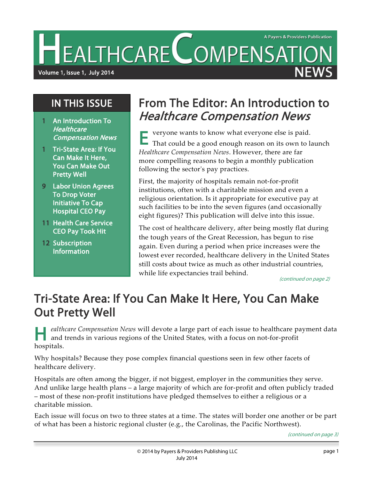EALTHCARE COMPENSATION

Volume 1, Issue 1, July 2014

1 An Introduction To **Healthcare** 

IN THIS ISSUE

1 Tri-State Area: If You Can Make It Here, You Can Make Out

9 Labor Union Agrees To Drop Voter Initiative To Cap Hospital CEO Pay 11 Health Care Service CEO Pay Took Hit

Pretty Well

12 Subscription Information

Compensation News

## From The Editor: An Introduction to Healthcare Compensation News

veryone wants to know what everyone else is paid.

That could be a good enough reason on its own to launch *Healthcare Compensation News*. However, there are far more compelling reasons to begin a monthly publication following the sector's pay practices. E

First, the majority of hospitals remain not-for-profit institutions, often with a charitable mission and even a religious orientation. Is it appropriate for executive pay at such facilities to be into the seven figures (and occasionally eight figures)? This publication will delve into this issue.

The cost of healthcare delivery, after being mostly flat during the tough years of the Great Recession, has begun to rise again. Even during a period when price increases were the lowest ever recorded, healthcare delivery in the United States still costs about twice as much as other industrial countries, while life expectancies trail behind.

(continued on page 2)

# Tri-State Area: If You Can Make It Here, You Can Make Out Pretty Well

*ealthcare Compensation News* will devote a large part of each issue to healthcare payment data and trends in various regions of the United States, with a focus on not-for-profit hospitals. H

Why hospitals? Because they pose complex financial questions seen in few other facets of healthcare delivery.

Hospitals are often among the bigger, if not biggest, employer in the communities they serve. And unlike large health plans – a large majority of which are for-profit and often publicly traded – most of these non-profit institutions have pledged themselves to either a religious or a charitable mission.

Each issue will focus on two to three states at a time. The states will border one another or be part of what has been a historic regional cluster (e.g., the Carolinas, the Pacific Northwest).

(continued on page 3)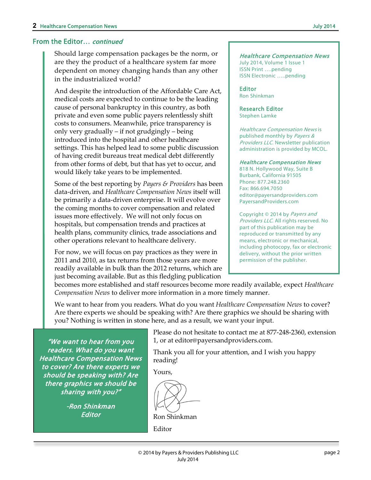#### From the Editor… continued

Should large compensation packages be the norm, or are they the product of a healthcare system far more dependent on money changing hands than any other in the industrialized world?

And despite the introduction of the Affordable Care Act, medical costs are expected to continue to be the leading cause of personal bankruptcy in this country, as both private and even some public payers relentlessly shift costs to consumers. Meanwhile, price transparency is only very gradually – if not grudgingly – being introduced into the hospital and other healthcare settings. This has helped lead to some public discussion of having credit bureaus treat medical debt differently from other forms of debt, but that has yet to occur, and would likely take years to be implemented.

Some of the best reporting by *Payers & Providers* has been data-driven, and *Healthcare Compensation News* itself will be primarily a data-driven enterprise. It will evolve over the coming months to cover compensation and related issues more effectively. We will not only focus on hospitals, but compensation trends and practices at health plans, community clinics, trade associations and other operations relevant to healthcare delivery.

For now, we will focus on pay practices as they were in 2011 and 2010, as tax returns from those years are more readily available in bulk than the 2012 returns, which are just becoming available. But as this fledgling publication

#### Healthcare Compensation News

July 2014, Volume 1 Issue 1 ISSN Print ….pending ISSN Electronic …..pending

Editor Ron Shinkman

Research Editor Stephen Lamke

Healthcare Compensation News is published monthly by Payers & **Providers LLC. Newsletter publication** administration is provided by MCOL.

#### Healthcare Compensation News

818 N. Hollywood Way, Suite B Burbank, California 91505 Phone: 877.248.2360 Fax: 866.694.7050 editor@payersandproviders.com PayersandProviders.com

Copyright © 2014 by Payers and Providers LLC. All rights reserved. No part of this publication may be reproduced or transmitted by any means, electronic or mechanical, including photocopy, fax or electronic delivery, without the prior written permission of the publisher.

becomes more established and staff resources become more readily available, expect *Healthcare Compensation News* to deliver more information in a more timely manner.

We want to hear from you readers. What do you want *Healthcare Compensation News* to cover? Are there experts we should be speaking with? Are there graphics we should be sharing with you? Nothing is written in stone here, and as a result, we want your input.

"We want to hear from you readers. What do you want Healthcare Compensation News to cover? Are there experts we should be speaking with? Are there graphics we should be sharing with you?"

> -Ron Shinkman Editor

Please do not hesitate to contact me at 877-248-2360, extension 1, or at editor@payersandproviders.com.

Thank you all for your attention, and I wish you happy reading!

Yours,

Ron Shinkman Editor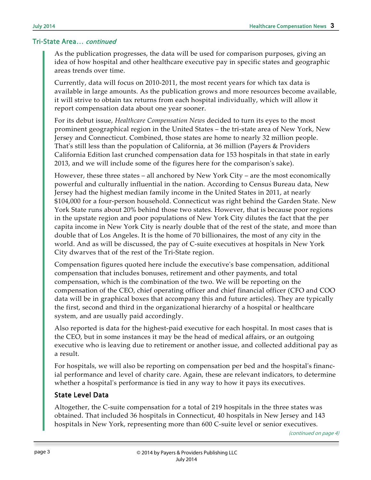As the publication progresses, the data will be used for comparison purposes, giving an idea of how hospital and other healthcare executive pay in specific states and geographic areas trends over time.

Currently, data will focus on 2010-2011, the most recent years for which tax data is available in large amounts. As the publication grows and more resources become available, it will strive to obtain tax returns from each hospital individually, which will allow it report compensation data about one year sooner.

For its debut issue, *Healthcare Compensation News* decided to turn its eyes to the most prominent geographical region in the United States – the tri-state area of New York, New Jersey and Connecticut. Combined, those states are home to nearly 32 million people. That's still less than the population of California, at 36 million (Payers & Providers California Edition last crunched compensation data for 153 hospitals in that state in early 2013, and we will include some of the figures here for the comparison's sake).

However, these three states – all anchored by New York City – are the most economically powerful and culturally influential in the nation. According to Census Bureau data, New Jersey had the highest median family income in the United States in 2011, at nearly \$104,000 for a four-person household. Connecticut was right behind the Garden State. New York State runs about 20% behind those two states. However, that is because poor regions in the upstate region and poor populations of New York City dilutes the fact that the per capita income in New York City is nearly double that of the rest of the state, and more than double that of Los Angeles. It is the home of 70 billionaires, the most of any city in the world. And as will be discussed, the pay of C-suite executives at hospitals in New York City dwarves that of the rest of the Tri-State region.

Compensation figures quoted here include the executive's base compensation, additional compensation that includes bonuses, retirement and other payments, and total compensation, which is the combination of the two. We will be reporting on the compensation of the CEO, chief operating officer and chief financial officer (CFO and COO data will be in graphical boxes that accompany this and future articles). They are typically the first, second and third in the organizational hierarchy of a hospital or healthcare system, and are usually paid accordingly.

Also reported is data for the highest-paid executive for each hospital. In most cases that is the CEO, but in some instances it may be the head of medical affairs, or an outgoing executive who is leaving due to retirement or another issue, and collected additional pay as a result.

For hospitals, we will also be reporting on compensation per bed and the hospital's financial performance and level of charity care. Again, these are relevant indicators, to determine whether a hospital's performance is tied in any way to how it pays its executives.

### State Level Data

Altogether, the C-suite compensation for a total of 219 hospitals in the three states was obtained. That included 36 hospitals in Connecticut, 40 hospitals in New Jersey and 143 hospitals in New York, representing more than 600 C-suite level or senior executives.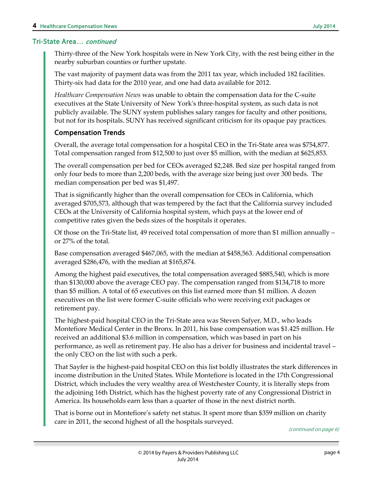Thirty-three of the New York hospitals were in New York City, with the rest being either in the nearby suburban counties or further upstate.

The vast majority of payment data was from the 2011 tax year, which included 182 facilities. Thirty-six had data for the 2010 year, and one had data available for 2012.

*Healthcare Compensation News* was unable to obtain the compensation data for the C-suite executives at the State University of New York's three-hospital system, as such data is not publicly available. The SUNY system publishes salary ranges for faculty and other positions, but not for its hospitals. SUNY has received significant criticism for its opaque pay practices.

### Compensation Trends

Overall, the average total compensation for a hospital CEO in the Tri-State area was \$754,877. Total compensation ranged from \$12,500 to just over \$5 million, with the median at \$625,853.

The overall compensation per bed for CEOs averaged \$2,248. Bed size per hospital ranged from only four beds to more than 2,200 beds, with the average size being just over 300 beds. The median compensation per bed was \$1,497.

That is significantly higher than the overall compensation for CEOs in California, which averaged \$705,573, although that was tempered by the fact that the California survey included CEOs at the University of California hospital system, which pays at the lower end of competitive rates given the beds sizes of the hospitals it operates.

Of those on the Tri-State list, 49 received total compensation of more than \$1 million annually – or 27% of the total.

Base compensation averaged \$467,065, with the median at \$458,563. Additional compensation averaged \$286,476, with the median at \$165,874.

Among the highest paid executives, the total compensation averaged \$885,540, which is more than \$130,000 above the average CEO pay. The compensation ranged from \$134,718 to more than \$5 million. A total of 65 executives on this list earned more than \$1 million. A dozen executives on the list were former C-suite officials who were receiving exit packages or retirement pay.

The highest-paid hospital CEO in the Tri-State area was Steven Safyer, M.D., who leads Montefiore Medical Center in the Bronx. In 2011, his base compensation was \$1.425 million. He received an additional \$3.6 million in compensation, which was based in part on his performance, as well as retirement pay. He also has a driver for business and incidental travel – the only CEO on the list with such a perk.

That Sayfer is the highest-paid hospital CEO on this list boldly illustrates the stark differences in income distribution in the United States. While Montefiore is located in the 17th Congressional District, which includes the very wealthy area of Westchester County, it is literally steps from the adjoining 16th District, which has the highest poverty rate of any Congressional District in America. Its households earn less than a quarter of those in the next district north.

That is borne out in Montefiore's safety net status. It spent more than \$359 million on charity care in 2011, the second highest of all the hospitals surveyed.

(continued on page 6)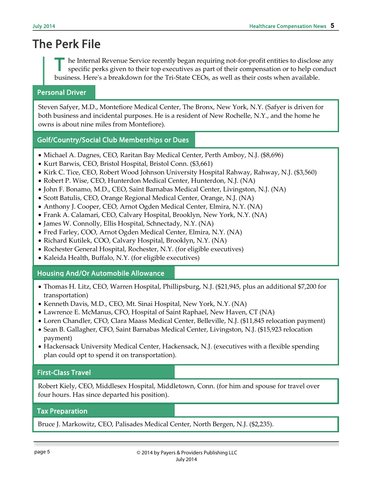# The Perk File

he Internal Revenue Service recently began requiring not-for-profit entities to disclose any specific perks given to their top executives as part of their compensation or to help conduct business. Here's a breakdown for the Tri-State CEOs, as well as their costs when available. T

#### Personal Driver

Steven Safyer, M.D., Montefiore Medical Center, The Bronx, New York, N.Y. (Safyer is driven for both business and incidental purposes. He is a resident of New Rochelle, N.Y., and the home he owns is about nine miles from Montefiore).

#### Golf/Country/Social Club Memberships or Dues

- Michael A. Dagnes, CEO, Raritan Bay Medical Center, Perth Amboy, N.J. (\$8,696)
- Kurt Barwis, CEO, Bristol Hospital, Bristol Conn. (\$3,661)
- Kirk C. Tice, CEO, Robert Wood Johnson University Hospital Rahway, Rahway, N.J. (\$3,560)
- Robert P. Wise, CEO, Hunterdon Medical Center, Hunterdon, N.J. (NA)
- John F. Bonamo, M.D., CEO, Saint Barnabas Medical Center, Livingston, N.J. (NA)
- Scott Batulis, CEO, Orange Regional Medical Center, Orange, N.J. (NA)
- Anthony J. Cooper, CEO, Arnot Ogden Medical Center, Elmira, N.Y. (NA)
- Frank A. Calamari, CEO, Calvary Hospital, Brooklyn, New York, N.Y. (NA)
- James W. Connolly, Ellis Hospital, Schnectady, N.Y. (NA)
- Fred Farley, COO, Arnot Ogden Medical Center, Elmira, N.Y. (NA)
- Richard Kutilek, COO, Calvary Hospital, Brooklyn, N.Y. (NA)
- Rochester General Hospital, Rochester, N.Y. (for eligible executives)
- Kaleida Health, Buffalo, N.Y. (for eligible executives)

#### Housing And/Or Automobile Allowance

- Thomas H. Litz, CEO, Warren Hospital, Phillipsburg, N.J. (\$21,945, plus an additional \$7,200 for transportation)
- Kenneth Davis, M.D., CEO, Mt. Sinai Hospital, New York, N.Y. (NA)
- Lawrence E. McManus, CFO, Hospital of Saint Raphael, New Haven, CT (NA)
- Loren Chandler, CFO, Clara Maass Medical Center, Belleville, N.J. (\$11,845 relocation payment)
- Sean B. Gallagher, CFO, Saint Barnabas Medical Center, Livingston, N.J. (\$15,923 relocation payment)
- Hackensack University Medical Center, Hackensack, N.J. (executives with a flexible spending plan could opt to spend it on transportation).

#### First-Class Travel

Robert Kiely, CEO, Middlesex Hospital, Middletown, Conn. (for him and spouse for travel over four hours. Has since departed his position).

#### Tax Preparation

Bruce J. Markowitz, CEO, Palisades Medical Center, North Bergen, N.J. (\$2,235).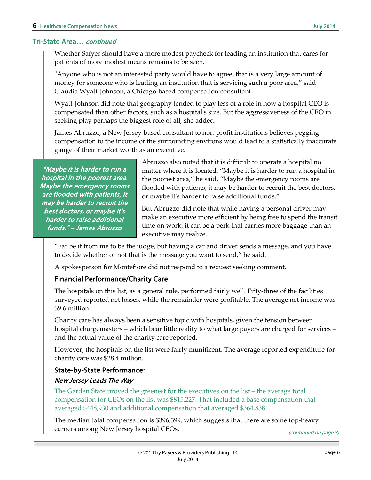Whether Safyer should have a more modest paycheck for leading an institution that cares for patients of more modest means remains to be seen.

"Anyone who is not an interested party would have to agree, that is a very large amount of money for someone who is leading an institution that is servicing such a poor area," said Claudia Wyatt-Johnson, a Chicago-based compensation consultant.

Wyatt-Johnson did note that geography tended to play less of a role in how a hospital CEO is compensated than other factors, such as a hospital's size. But the aggressiveness of the CEO in seeking play perhaps the biggest role of all, she added.

James Abruzzo, a New Jersey-based consultant to non-profit institutions believes pegging compensation to the income of the surrounding environs would lead to a statistically inaccurate gauge of their market worth as an executive.

"Maybe it is harder to run a hospital in the poorest area. Maybe the emergency rooms are flooded with patients, it may be harder to recruit the best doctors, or maybe it's harder to raise additional funds." – James Abruzzo

Abruzzo also noted that it is difficult to operate a hospital no matter where it is located. "Maybe it is harder to run a hospital in the poorest area," he said. "Maybe the emergency rooms are flooded with patients, it may be harder to recruit the best doctors, or maybe it's harder to raise additional funds."

But Abruzzo did note that while having a personal driver may make an executive more efficient by being free to spend the transit time on work, it can be a perk that carries more baggage than an executive may realize.

"Far be it from me to be the judge, but having a car and driver sends a message, and you have to decide whether or not that is the message you want to send," he said.

A spokesperson for Montefiore did not respond to a request seeking comment.

### Financial Performance/Charity Care

The hospitals on this list, as a general rule, performed fairly well. Fifty-three of the facilities surveyed reported net losses, while the remainder were profitable. The average net income was \$9.6 million.

Charity care has always been a sensitive topic with hospitals, given the tension between hospital chargemasters – which bear little reality to what large payers are charged for services – and the actual value of the charity care reported.

However, the hospitals on the list were fairly munificent. The average reported expenditure for charity care was \$28.4 million.

### State-by-State Performance:

#### New Jersey Leads The Way

The Garden State proved the greenest for the executives on the list – the average total compensation for CEOs on the list was \$815,227. That included a base compensation that averaged \$448,930 and additional compensation that averaged \$364,838.

The median total compensation is \$396,399, which suggests that there are some top-heavy earners among New Jersey hospital CEOs.

(continued on page 8)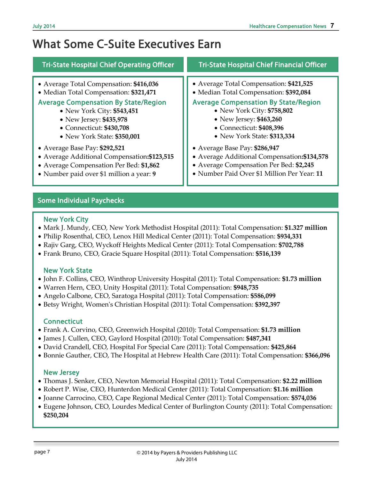# What Some C-Suite Executives Earn

| <b>Tri-State Hospital Chief Operating Officer</b> | <b>Tri-State Hospital Chief Financial Officer</b> |
|---------------------------------------------------|---------------------------------------------------|
| • Average Total Compensation: \$416,036           | • Average Total Compensation: \$421,525           |
| • Median Total Compensation: \$321,471            | • Median Total Compensation: \$392,084            |
| <b>Average Compensation By State/Region</b>       | <b>Average Compensation By State/Region</b>       |
| • New York City: \$543,451                        | • New York City: \$758,802                        |
| • New Jersey: \$435,978                           | • New Jersey: \$463,260                           |
| • Connecticut: \$430,708                          | • Connecticut: \$408,396                          |
| • New York State: \$350,001                       | • New York State: \$313,334                       |
| • Average Base Pay: \$292,521                     | • Average Base Pay: \$286,947                     |
| • Average Additional Compensation: \$123,515      | • Average Additional Compensation: \$134,578      |
| • Average Compensation Per Bed: \$1,862           | • Average Compensation Per Bed: \$2,245           |
| • Number paid over \$1 million a year: 9          | • Number Paid Over \$1 Million Per Year: 11       |

### Some Individual Paychecks

#### New York City

Ī

I

I

I

I

I

I

I

I

I

I

I

I

I

I I

- Mark J. Mundy, CEO, New York Methodist Hospital (2011): Total Compensation: **\$1.327 million**
- Philip Rosenthal, CEO, Lenox Hill Medical Center (2011): Total Compensation: **\$934,331**
- Rajiv Garg, CEO, Wyckoff Heights Medical Center (2011): Total Compensation: **\$702,788**
- Frank Bruno, CEO, Gracie Square Hospital (2011): Total Compensation: **\$516,139**

#### New York State

- John F. Collins, CEO, Winthrop University Hospital (2011): Total Compensation: **\$1.73 million**
- Warren Hern, CEO, Unity Hospital (2011): Total Compensation: **\$948,735**
- Angelo Calbone, CEO, Saratoga Hospital (2011): Total Compensation: **\$586,099**
- Betsy Wright, Women's Christian Hospital (2011): Total Compensation: **\$392,397**

### **Connecticut**

- Frank A. Corvino, CEO, Greenwich Hospital (2010): Total Compensation: **\$1.73 million**
- James J. Cullen, CEO, Gaylord Hospital (2010): Total Compensation: **\$487,341**
- David Crandell, CEO, Hospital For Special Care (2011): Total Compensation: **\$425,864**
- Bonnie Gauther, CEO, The Hospital at Hebrew Health Care (2011): Total Compensation: **\$366,096**

### New Jersey

- New Jersey<br>• Thomas J. Senker, CEO, Newton Memorial Hospital (2011): Total Compensation: **\$2.22 million** •
- Robert P. Wise, CEO, Hunterdon Medical Center (2011): Total Compensation: **\$1.16 million**
- Joanne Carrocino, CEO, Cape Regional Medical Center (2011): Total Compensation: **\$574,036**
- Eugene Johnson, CEO, Lourdes Medical Center of Burlington County (2011): Total Compensation: **\$250,204**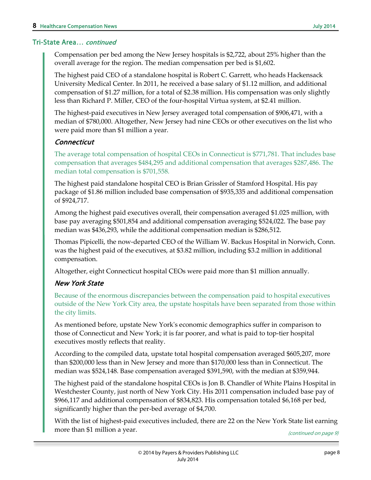Compensation per bed among the New Jersey hospitals is \$2,722, about 25% higher than the overall average for the region. The median compensation per bed is \$1,602.

The highest paid CEO of a standalone hospital is Robert C. Garrett, who heads Hackensack University Medical Center. In 2011, he received a base salary of \$1.12 million, and additional compensation of \$1.27 million, for a total of \$2.38 million. His compensation was only slightly less than Richard P. Miller, CEO of the four-hospital Virtua system, at \$2.41 million.

The highest-paid executives in New Jersey averaged total compensation of \$906,471, with a median of \$780,000. Altogether, New Jersey had nine CEOs or other executives on the list who were paid more than \$1 million a year.

#### **Connecticut**

The average total compensation of hospital CEOs in Connecticut is \$771,781. That includes base compensation that averages \$484,295 and additional compensation that averages \$287,486. The median total compensation is \$701,558.

The highest paid standalone hospital CEO is Brian Grissler of Stamford Hospital. His pay package of \$1.86 million included base compensation of \$935,335 and additional compensation of \$924,717.

Among the highest paid executives overall, their compensation averaged \$1.025 million, with base pay averaging \$501,854 and additional compensation averaging \$524,022. The base pay median was \$436,293, while the additional compensation median is \$286,512.

Thomas Pipicelli, the now-departed CEO of the William W. Backus Hospital in Norwich, Conn. was the highest paid of the executives, at \$3.82 million, including \$3.2 million in additional compensation.

Altogether, eight Connecticut hospital CEOs were paid more than \$1 million annually.

### New York State

Because of the enormous discrepancies between the compensation paid to hospital executives outside of the New York City area, the upstate hospitals have been separated from those within the city limits.

As mentioned before, upstate New York's economic demographics suffer in comparison to those of Connecticut and New York; it is far poorer, and what is paid to top-tier hospital executives mostly reflects that reality.

According to the compiled data, upstate total hospital compensation averaged \$605,207, more than \$200,000 less than in New Jersey and more than \$170,000 less than in Connecticut. The median was \$524,148. Base compensation averaged \$391,590, with the median at \$359,944.

The highest paid of the standalone hospital CEOs is Jon B. Chandler of White Plains Hospital in Westchester County, just north of New York City. His 2011 compensation included base pay of \$966,117 and additional compensation of \$834,823. His compensation totaled \$6,168 per bed, significantly higher than the per-bed average of \$4,700.

With the list of highest-paid executives included, there are 22 on the New York State list earning more than \$1 million a year. (continued on page 9)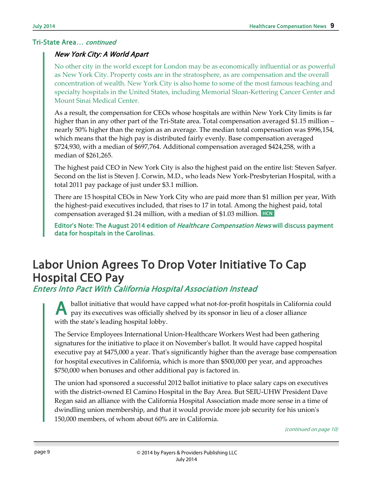#### New York City: A World Apart

No other city in the world except for London may be as economically influential or as powerful as New York City. Property costs are in the stratosphere, as are compensation and the overall concentration of wealth. New York City is also home to some of the most famous teaching and specialty hospitals in the United States, including Memorial Sloan-Kettering Cancer Center and Mount Sinai Medical Center.

As a result, the compensation for CEOs whose hospitals are within New York City limits is far higher than in any other part of the Tri-State area. Total compensation averaged \$1.15 million – nearly 50% higher than the region as an average. The median total compensation was \$996,154, which means that the high pay is distributed fairly evenly. Base compensation averaged \$724,930, with a median of \$697,764. Additional compensation averaged \$424,258, with a median of \$261,265.

The highest paid CEO in New York City is also the highest paid on the entire list: Steven Safyer. Second on the list is Steven J. Corwin, M.D., who leads New York-Presbyterian Hospital, with a total 2011 pay package of just under \$3.1 million.

compensation averaged \$1.24 million, with a median of \$1.03 million. HCN There are 15 hospital CEOs in New York City who are paid more than \$1 million per year, With the highest-paid executives included, that rises to 17 in total. Among the highest paid, total

Editor's Note: The August 2014 edition of *Healthcare Compensation News* will discuss payment data for hospitals in the Carolinas.

# Labor Union Agrees To Drop Voter Initiative To Cap Hospital CEO Pay

Enters Into Pact With California Hospital Association Instead

ballot initiative that would have capped what not-for-profit hospitals in California could pay its executives was officially shelved by its sponsor in lieu of a closer alliance with the state's leading hospital lobby. A

The Service Employees International Union-Healthcare Workers West had been gathering signatures for the initiative to place it on November's ballot. It would have capped hospital executive pay at \$475,000 a year. That's significantly higher than the average base compensation for hospital executives in California, which is more than \$500,000 per year, and approaches \$750,000 when bonuses and other additional pay is factored in.

The union had sponsored a successful 2012 ballot initiative to place salary caps on executives with the district-owned El Camino Hospital in the Bay Area. But SEIU-UHW President Dave Regan said an alliance with the California Hospital Association made more sense in a time of dwindling union membership, and that it would provide more job security for his union's 150,000 members, of whom about 60% are in California.

(continued on page 10)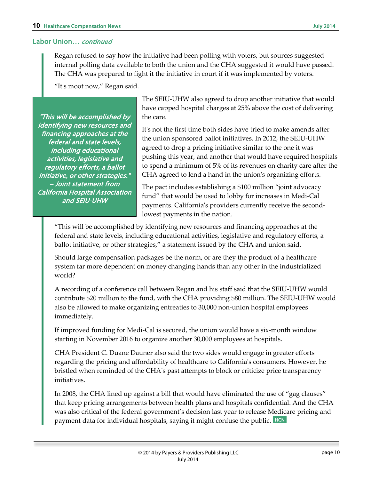#### Labor Union… continued

Regan refused to say how the initiative had been polling with voters, but sources suggested internal polling data available to both the union and the CHA suggested it would have passed. The CHA was prepared to fight it the initiative in court if it was implemented by voters.

"It's moot now," Regan said.

"This will be accomplished by identifying new resources and financing approaches at the federal and state levels, including educational activities, legislative and regulatory efforts, a ballot initiative, or other strategies." – Joint statement from California Hospital Association and SEIU-UHW

The SEIU-UHW also agreed to drop another initiative that would have capped hospital charges at 25% above the cost of delivering the care.

It's not the first time both sides have tried to make amends after the union sponsored ballot initiatives. In 2012, the SEIU-UHW agreed to drop a pricing initiative similar to the one it was pushing this year, and another that would have required hospitals to spend a minimum of 5% of its revenues on charity care after the CHA agreed to lend a hand in the union's organizing efforts.

The pact includes establishing a \$100 million "joint advocacy fund" that would be used to lobby for increases in Medi-Cal payments. California's providers currently receive the secondlowest payments in the nation.

"This will be accomplished by identifying new resources and financing approaches at the federal and state levels, including educational activities, legislative and regulatory efforts, a ballot initiative, or other strategies," a statement issued by the CHA and union said.

Should large compensation packages be the norm, or are they the product of a healthcare system far more dependent on money changing hands than any other in the industrialized world?

A recording of a conference call between Regan and his staff said that the SEIU-UHW would contribute \$20 million to the fund, with the CHA providing \$80 million. The SEIU-UHW would also be allowed to make organizing entreaties to 30,000 non-union hospital employees immediately.

If improved funding for Medi-Cal is secured, the union would have a six-month window starting in November 2016 to organize another 30,000 employees at hospitals.

CHA President C. Duane Dauner also said the two sides would engage in greater efforts regarding the pricing and affordability of healthcare to California's consumers. However, he bristled when reminded of the CHA's past attempts to block or criticize price transparency initiatives.

payment data for individual hospitals, saying it might confuse the public. HCN In 2008, the CHA lined up against a bill that would have eliminated the use of "gag clauses" that keep pricing arrangements between health plans and hospitals confidential. And the CHA was also critical of the federal government's decision last year to release Medicare pricing and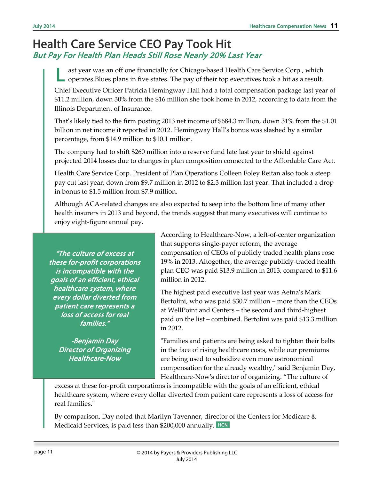## Health Care Service CEO Pay Took Hit But Pay For Health Plan Heads Still Rose Nearly 20% Last Year

ast year was an off one financially for Chicago-based Health Care Service Corp., which operates Blues plans in five states. The pay of their top executives took a hit as a result. L

Chief Executive Officer Patricia Hemingway Hall had a total compensation package last year of \$11.2 million, down 30% from the \$16 million she took home in 2012, according to data from the Illinois Department of Insurance.

That's likely tied to the firm posting 2013 net income of \$684.3 million, down 31% from the \$1.01 billion in net income it reported in 2012. Hemingway Hall's bonus was slashed by a similar percentage, from \$14.9 million to \$10.1 million.

The company had to shift \$260 million into a reserve fund late last year to shield against projected 2014 losses due to changes in plan composition connected to the Affordable Care Act.

Health Care Service Corp. President of Plan Operations Colleen Foley Reitan also took a steep pay cut last year, down from \$9.7 million in 2012 to \$2.3 million last year. That included a drop in bonus to \$1.5 million from \$7.9 million.

Although ACA-related changes are also expected to seep into the bottom line of many other health insurers in 2013 and beyond, the trends suggest that many executives will continue to enjoy eight-figure annual pay.

"The culture of excess at these for-profit corporations is incompatible with the goals of an efficient, ethical healthcare system, where every dollar diverted from patient care represents a loss of access for real families."

-Benjamin Day Director of Organizing Healthcare-Now

According to Healthcare-Now, a left-of-center organization that supports single-payer reform, the average compensation of CEOs of publicly traded health plans rose 19% in 2013. Altogether, the average publicly-traded health plan CEO was paid \$13.9 million in 2013, compared to \$11.6 million in 2012.

The highest paid executive last year was Aetna's Mark Bertolini, who was paid \$30.7 million – more than the CEOs at WellPoint and Centers – the second and third-highest paid on the list – combined. Bertolini was paid \$13.3 million in 2012.

"Families and patients are being asked to tighten their belts in the face of rising healthcare costs, while our premiums are being used to subsidize even more astronomical compensation for the already wealthy," said Benjamin Day, Healthcare-Now's director of organizing. "The culture of

excess at these for-profit corporations is incompatible with the goals of an efficient, ethical healthcare system, where every dollar diverted from patient care represents a loss of access for real families."

Medicaid Services, is paid less than \$200,000 annually. HCN By comparison, Day noted that Marilyn Tavenner, director of the Centers for Medicare  $\&$